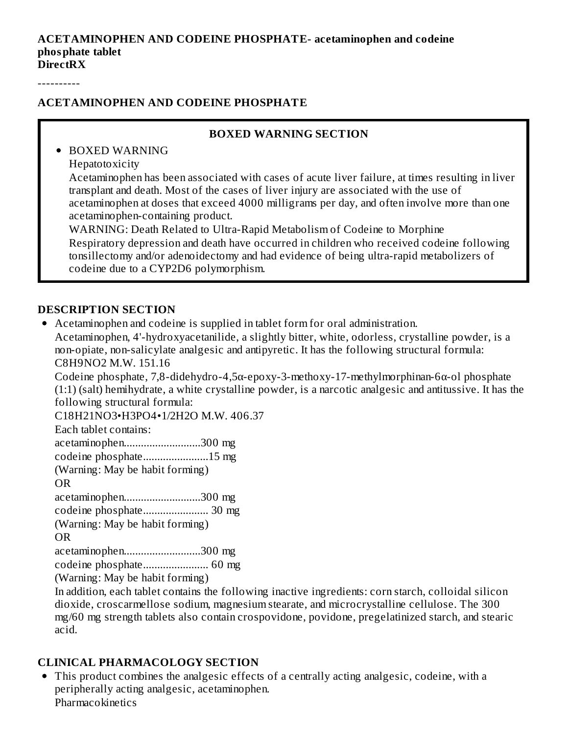#### **ACETAMINOPHEN AND CODEINE PHOSPHATE- acetaminophen and codeine phosphate tablet DirectRX**

----------

#### **ACETAMINOPHEN AND CODEINE PHOSPHATE**

#### **BOXED WARNING SECTION**

BOXED WARNING Hepatotoxicity

> Acetaminophen has been associated with cases of acute liver failure, at times resulting in liver transplant and death. Most of the cases of liver injury are associated with the use of acetaminophen at doses that exceed 4000 milligrams per day, and often involve more than one acetaminophen-containing product.

WARNING: Death Related to Ultra-Rapid Metabolism of Codeine to Morphine Respiratory depression and death have occurred in children who received codeine following tonsillectomy and/or adenoidectomy and had evidence of being ultra-rapid metabolizers of codeine due to a CYP2D6 polymorphism.

#### **DESCRIPTION SECTION**

Acetaminophen and codeine is supplied in tablet form for oral administration.

Acetaminophen, 4'-hydroxyacetanilide, a slightly bitter, white, odorless, crystalline powder, is a non-opiate, non-salicylate analgesic and antipyretic. It has the following structural formula: C8H9NO2 M.W. 151.16

Codeine phosphate, 7,8-didehydro-4,5α-epoxy-3-methoxy-17-methylmorphinan-6α-ol phosphate (1:1) (salt) hemihydrate, a white crystalline powder, is a narcotic analgesic and antitussive. It has the following structural formula:

C18H21NO3•H3PO4•1/2H2O M.W. 406.37

Each tablet contains:

acetaminophen...........................300 mg

codeine phosphate.......................15 mg

(Warning: May be habit forming)

OR

acetaminophen...........................300 mg

codeine phosphate....................... 30 mg

(Warning: May be habit forming)

OR

acetaminophen...........................300 mg

codeine phosphate....................... 60 mg

(Warning: May be habit forming)

In addition, each tablet contains the following inactive ingredients: corn starch, colloidal silicon dioxide, croscarmellose sodium, magnesium stearate, and microcrystalline cellulose. The 300 mg/60 mg strength tablets also contain crospovidone, povidone, pregelatinized starch, and stearic acid.

#### **CLINICAL PHARMACOLOGY SECTION**

This product combines the analgesic effects of a centrally acting analgesic, codeine, with a peripherally acting analgesic, acetaminophen. **Pharmacokinetics**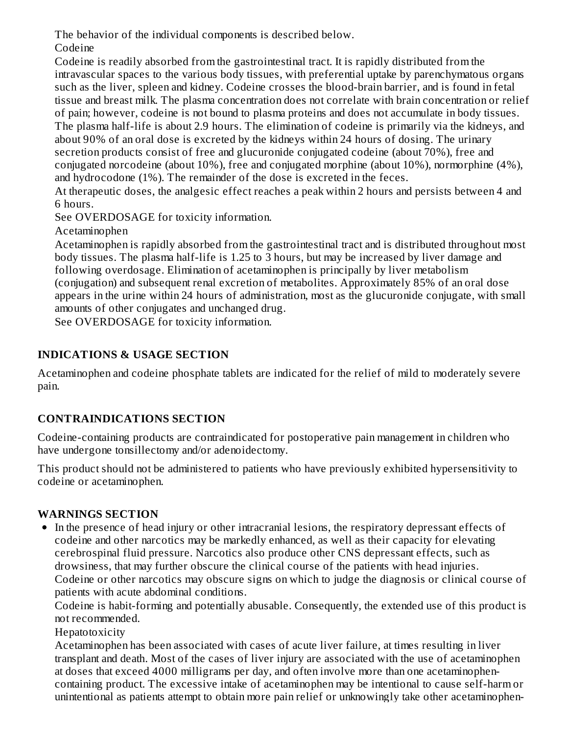The behavior of the individual components is described below.

Codeine

Codeine is readily absorbed from the gastrointestinal tract. It is rapidly distributed from the intravascular spaces to the various body tissues, with preferential uptake by parenchymatous organs such as the liver, spleen and kidney. Codeine crosses the blood-brain barrier, and is found in fetal tissue and breast milk. The plasma concentration does not correlate with brain concentration or relief of pain; however, codeine is not bound to plasma proteins and does not accumulate in body tissues. The plasma half-life is about 2.9 hours. The elimination of codeine is primarily via the kidneys, and about 90% of an oral dose is excreted by the kidneys within 24 hours of dosing. The urinary secretion products consist of free and glucuronide conjugated codeine (about 70%), free and conjugated norcodeine (about 10%), free and conjugated morphine (about 10%), normorphine (4%), and hydrocodone (1%). The remainder of the dose is excreted in the feces.

At therapeutic doses, the analgesic effect reaches a peak within 2 hours and persists between 4 and 6 hours.

See OVERDOSAGE for toxicity information.

Acetaminophen

Acetaminophen is rapidly absorbed from the gastrointestinal tract and is distributed throughout most body tissues. The plasma half-life is 1.25 to 3 hours, but may be increased by liver damage and following overdosage. Elimination of acetaminophen is principally by liver metabolism (conjugation) and subsequent renal excretion of metabolites. Approximately 85% of an oral dose appears in the urine within 24 hours of administration, most as the glucuronide conjugate, with small amounts of other conjugates and unchanged drug.

See OVERDOSAGE for toxicity information.

# **INDICATIONS & USAGE SECTION**

Acetaminophen and codeine phosphate tablets are indicated for the relief of mild to moderately severe pain.

# **CONTRAINDICATIONS SECTION**

Codeine-containing products are contraindicated for postoperative pain management in children who have undergone tonsillectomy and/or adenoidectomy.

This product should not be administered to patients who have previously exhibited hypersensitivity to codeine or acetaminophen.

# **WARNINGS SECTION**

In the presence of head injury or other intracranial lesions, the respiratory depressant effects of codeine and other narcotics may be markedly enhanced, as well as their capacity for elevating cerebrospinal fluid pressure. Narcotics also produce other CNS depressant effects, such as drowsiness, that may further obscure the clinical course of the patients with head injuries. Codeine or other narcotics may obscure signs on which to judge the diagnosis or clinical course of patients with acute abdominal conditions.

Codeine is habit-forming and potentially abusable. Consequently, the extended use of this product is not recommended.

**Hepatotoxicity** 

Acetaminophen has been associated with cases of acute liver failure, at times resulting in liver transplant and death. Most of the cases of liver injury are associated with the use of acetaminophen at doses that exceed 4000 milligrams per day, and often involve more than one acetaminophencontaining product. The excessive intake of acetaminophen may be intentional to cause self-harm or unintentional as patients attempt to obtain more pain relief or unknowingly take other acetaminophen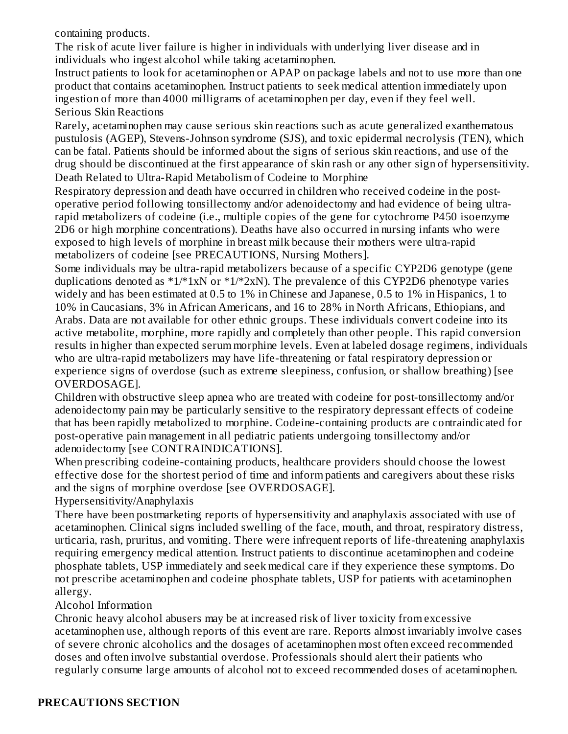containing products.

The risk of acute liver failure is higher in individuals with underlying liver disease and in individuals who ingest alcohol while taking acetaminophen.

Instruct patients to look for acetaminophen or APAP on package labels and not to use more than one product that contains acetaminophen. Instruct patients to seek medical attention immediately upon ingestion of more than 4000 milligrams of acetaminophen per day, even if they feel well. Serious Skin Reactions

Rarely, acetaminophen may cause serious skin reactions such as acute generalized exanthematous pustulosis (AGEP), Stevens-Johnson syndrome (SJS), and toxic epidermal necrolysis (TEN), which can be fatal. Patients should be informed about the signs of serious skin reactions, and use of the drug should be discontinued at the first appearance of skin rash or any other sign of hypersensitivity. Death Related to Ultra-Rapid Metabolism of Codeine to Morphine

Respiratory depression and death have occurred in children who received codeine in the postoperative period following tonsillectomy and/or adenoidectomy and had evidence of being ultrarapid metabolizers of codeine (i.e., multiple copies of the gene for cytochrome P450 isoenzyme 2D6 or high morphine concentrations). Deaths have also occurred in nursing infants who were exposed to high levels of morphine in breast milk because their mothers were ultra-rapid metabolizers of codeine [see PRECAUTIONS, Nursing Mothers].

Some individuals may be ultra-rapid metabolizers because of a specific CYP2D6 genotype (gene duplications denoted as  $*1/*1xN$  or  $*1/*2xN$ ). The prevalence of this CYP2D6 phenotype varies widely and has been estimated at 0.5 to 1% in Chinese and Japanese, 0.5 to 1% in Hispanics, 1 to 10% in Caucasians, 3% in African Americans, and 16 to 28% in North Africans, Ethiopians, and Arabs. Data are not available for other ethnic groups. These individuals convert codeine into its active metabolite, morphine, more rapidly and completely than other people. This rapid conversion results in higher than expected serum morphine levels. Even at labeled dosage regimens, individuals who are ultra-rapid metabolizers may have life-threatening or fatal respiratory depression or experience signs of overdose (such as extreme sleepiness, confusion, or shallow breathing) [see OVERDOSAGE].

Children with obstructive sleep apnea who are treated with codeine for post-tonsillectomy and/or adenoidectomy pain may be particularly sensitive to the respiratory depressant effects of codeine that has been rapidly metabolized to morphine. Codeine-containing products are contraindicated for post-operative pain management in all pediatric patients undergoing tonsillectomy and/or adenoidectomy [see CONTRAINDICATIONS].

When prescribing codeine-containing products, healthcare providers should choose the lowest effective dose for the shortest period of time and inform patients and caregivers about these risks and the signs of morphine overdose [see OVERDOSAGE].

Hypersensitivity/Anaphylaxis

There have been postmarketing reports of hypersensitivity and anaphylaxis associated with use of acetaminophen. Clinical signs included swelling of the face, mouth, and throat, respiratory distress, urticaria, rash, pruritus, and vomiting. There were infrequent reports of life-threatening anaphylaxis requiring emergency medical attention. Instruct patients to discontinue acetaminophen and codeine phosphate tablets, USP immediately and seek medical care if they experience these symptoms. Do not prescribe acetaminophen and codeine phosphate tablets, USP for patients with acetaminophen allergy.

Alcohol Information

Chronic heavy alcohol abusers may be at increased risk of liver toxicity from excessive acetaminophen use, although reports of this event are rare. Reports almost invariably involve cases of severe chronic alcoholics and the dosages of acetaminophen most often exceed recommended doses and often involve substantial overdose. Professionals should alert their patients who regularly consume large amounts of alcohol not to exceed recommended doses of acetaminophen.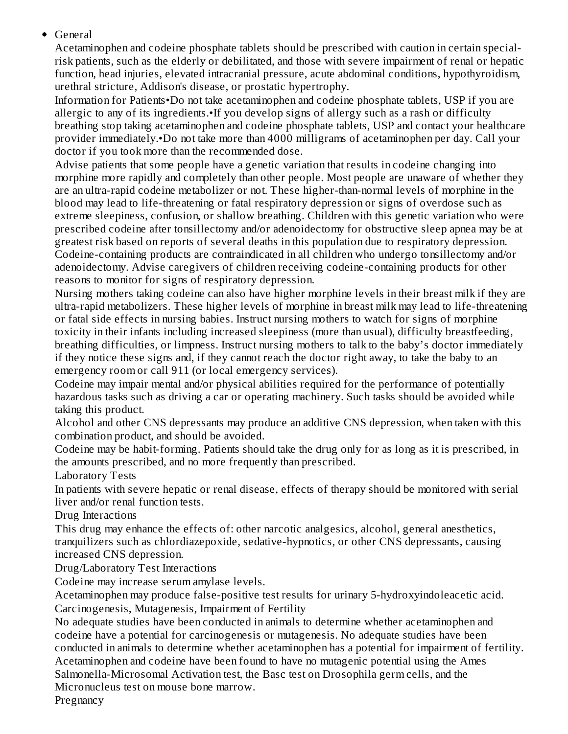#### General

Acetaminophen and codeine phosphate tablets should be prescribed with caution in certain specialrisk patients, such as the elderly or debilitated, and those with severe impairment of renal or hepatic function, head injuries, elevated intracranial pressure, acute abdominal conditions, hypothyroidism, urethral stricture, Addison's disease, or prostatic hypertrophy.

Information for Patients•Do not take acetaminophen and codeine phosphate tablets, USP if you are allergic to any of its ingredients.•If you develop signs of allergy such as a rash or difficulty breathing stop taking acetaminophen and codeine phosphate tablets, USP and contact your healthcare provider immediately.•Do not take more than 4000 milligrams of acetaminophen per day. Call your doctor if you took more than the recommended dose.

Advise patients that some people have a genetic variation that results in codeine changing into morphine more rapidly and completely than other people. Most people are unaware of whether they are an ultra-rapid codeine metabolizer or not. These higher-than-normal levels of morphine in the blood may lead to life-threatening or fatal respiratory depression or signs of overdose such as extreme sleepiness, confusion, or shallow breathing. Children with this genetic variation who were prescribed codeine after tonsillectomy and/or adenoidectomy for obstructive sleep apnea may be at greatest risk based on reports of several deaths in this population due to respiratory depression. Codeine-containing products are contraindicated in all children who undergo tonsillectomy and/or adenoidectomy. Advise caregivers of children receiving codeine-containing products for other reasons to monitor for signs of respiratory depression.

Nursing mothers taking codeine can also have higher morphine levels in their breast milk if they are ultra-rapid metabolizers. These higher levels of morphine in breast milk may lead to life-threatening or fatal side effects in nursing babies. Instruct nursing mothers to watch for signs of morphine toxicity in their infants including increased sleepiness (more than usual), difficulty breastfeeding, breathing difficulties, or limpness. Instruct nursing mothers to talk to the baby's doctor immediately if they notice these signs and, if they cannot reach the doctor right away, to take the baby to an emergency room or call 911 (or local emergency services).

Codeine may impair mental and/or physical abilities required for the performance of potentially hazardous tasks such as driving a car or operating machinery. Such tasks should be avoided while taking this product.

Alcohol and other CNS depressants may produce an additive CNS depression, when taken with this combination product, and should be avoided.

Codeine may be habit-forming. Patients should take the drug only for as long as it is prescribed, in the amounts prescribed, and no more frequently than prescribed.

Laboratory Tests

In patients with severe hepatic or renal disease, effects of therapy should be monitored with serial liver and/or renal function tests.

Drug Interactions

This drug may enhance the effects of: other narcotic analgesics, alcohol, general anesthetics, tranquilizers such as chlordiazepoxide, sedative-hypnotics, or other CNS depressants, causing increased CNS depression.

Drug/Laboratory Test Interactions

Codeine may increase serum amylase levels.

Acetaminophen may produce false-positive test results for urinary 5-hydroxyindoleacetic acid. Carcinogenesis, Mutagenesis, Impairment of Fertility

No adequate studies have been conducted in animals to determine whether acetaminophen and codeine have a potential for carcinogenesis or mutagenesis. No adequate studies have been conducted in animals to determine whether acetaminophen has a potential for impairment of fertility. Acetaminophen and codeine have been found to have no mutagenic potential using the Ames

Salmonella-Microsomal Activation test, the Basc test on Drosophila germ cells, and the Micronucleus test on mouse bone marrow.

**Pregnancy**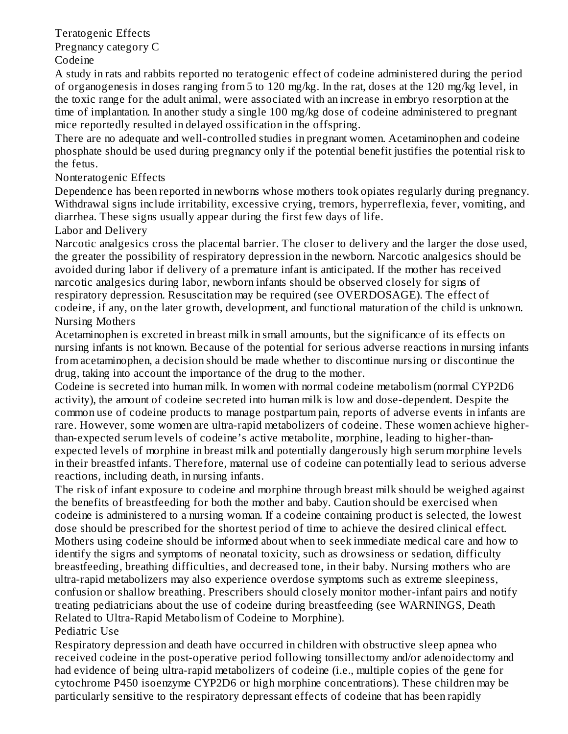Teratogenic Effects Pregnancy category C Codeine

A study in rats and rabbits reported no teratogenic effect of codeine administered during the period of organogenesis in doses ranging from 5 to 120 mg/kg. In the rat, doses at the 120 mg/kg level, in the toxic range for the adult animal, were associated with an increase in embryo resorption at the time of implantation. In another study a single 100 mg/kg dose of codeine administered to pregnant mice reportedly resulted in delayed ossification in the offspring.

There are no adequate and well-controlled studies in pregnant women. Acetaminophen and codeine phosphate should be used during pregnancy only if the potential benefit justifies the potential risk to the fetus.

#### Nonteratogenic Effects

Dependence has been reported in newborns whose mothers took opiates regularly during pregnancy. Withdrawal signs include irritability, excessive crying, tremors, hyperreflexia, fever, vomiting, and diarrhea. These signs usually appear during the first few days of life.

Labor and Delivery

Narcotic analgesics cross the placental barrier. The closer to delivery and the larger the dose used, the greater the possibility of respiratory depression in the newborn. Narcotic analgesics should be avoided during labor if delivery of a premature infant is anticipated. If the mother has received narcotic analgesics during labor, newborn infants should be observed closely for signs of respiratory depression. Resuscitation may be required (see OVERDOSAGE). The effect of codeine, if any, on the later growth, development, and functional maturation of the child is unknown. Nursing Mothers

Acetaminophen is excreted in breast milk in small amounts, but the significance of its effects on nursing infants is not known. Because of the potential for serious adverse reactions in nursing infants from acetaminophen, a decision should be made whether to discontinue nursing or discontinue the drug, taking into account the importance of the drug to the mother.

Codeine is secreted into human milk. In women with normal codeine metabolism (normal CYP2D6 activity), the amount of codeine secreted into human milk is low and dose-dependent. Despite the common use of codeine products to manage postpartum pain, reports of adverse events in infants are rare. However, some women are ultra-rapid metabolizers of codeine. These women achieve higherthan-expected serum levels of codeine's active metabolite, morphine, leading to higher-thanexpected levels of morphine in breast milk and potentially dangerously high serum morphine levels in their breastfed infants. Therefore, maternal use of codeine can potentially lead to serious adverse reactions, including death, in nursing infants.

The risk of infant exposure to codeine and morphine through breast milk should be weighed against the benefits of breastfeeding for both the mother and baby. Caution should be exercised when codeine is administered to a nursing woman. If a codeine containing product is selected, the lowest dose should be prescribed for the shortest period of time to achieve the desired clinical effect. Mothers using codeine should be informed about when to seek immediate medical care and how to identify the signs and symptoms of neonatal toxicity, such as drowsiness or sedation, difficulty breastfeeding, breathing difficulties, and decreased tone, in their baby. Nursing mothers who are ultra-rapid metabolizers may also experience overdose symptoms such as extreme sleepiness, confusion or shallow breathing. Prescribers should closely monitor mother-infant pairs and notify treating pediatricians about the use of codeine during breastfeeding (see WARNINGS, Death Related to Ultra-Rapid Metabolism of Codeine to Morphine).

Pediatric Use

Respiratory depression and death have occurred in children with obstructive sleep apnea who received codeine in the post-operative period following tonsillectomy and/or adenoidectomy and had evidence of being ultra-rapid metabolizers of codeine (i.e., multiple copies of the gene for cytochrome P450 isoenzyme CYP2D6 or high morphine concentrations). These children may be particularly sensitive to the respiratory depressant effects of codeine that has been rapidly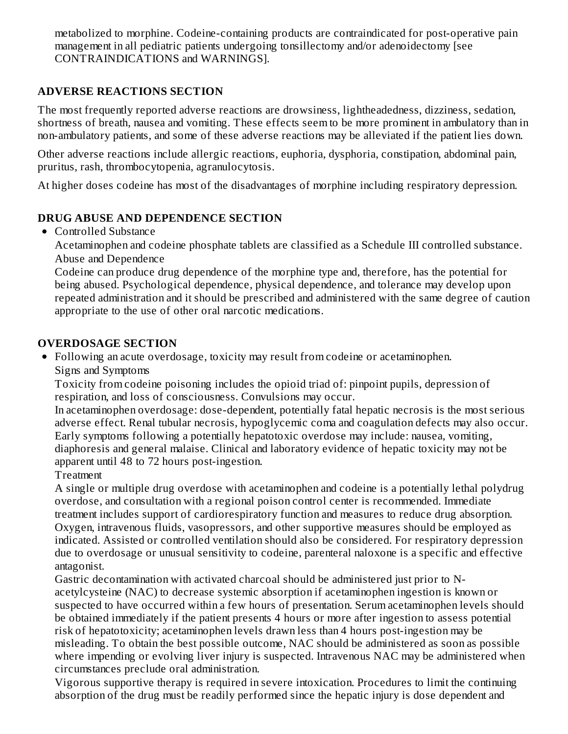metabolized to morphine. Codeine-containing products are contraindicated for post-operative pain management in all pediatric patients undergoing tonsillectomy and/or adenoidectomy [see CONTRAINDICATIONS and WARNINGS].

## **ADVERSE REACTIONS SECTION**

The most frequently reported adverse reactions are drowsiness, lightheadedness, dizziness, sedation, shortness of breath, nausea and vomiting. These effects seem to be more prominent in ambulatory than in non-ambulatory patients, and some of these adverse reactions may be alleviated if the patient lies down.

Other adverse reactions include allergic reactions, euphoria, dysphoria, constipation, abdominal pain, pruritus, rash, thrombocytopenia, agranulocytosis.

At higher doses codeine has most of the disadvantages of morphine including respiratory depression.

#### **DRUG ABUSE AND DEPENDENCE SECTION**

• Controlled Substance

Acetaminophen and codeine phosphate tablets are classified as a Schedule III controlled substance. Abuse and Dependence

Codeine can produce drug dependence of the morphine type and, therefore, has the potential for being abused. Psychological dependence, physical dependence, and tolerance may develop upon repeated administration and it should be prescribed and administered with the same degree of caution appropriate to the use of other oral narcotic medications.

#### **OVERDOSAGE SECTION**

Following an acute overdosage, toxicity may result from codeine or acetaminophen. Signs and Symptoms

Toxicity from codeine poisoning includes the opioid triad of: pinpoint pupils, depression of respiration, and loss of consciousness. Convulsions may occur.

In acetaminophen overdosage: dose-dependent, potentially fatal hepatic necrosis is the most serious adverse effect. Renal tubular necrosis, hypoglycemic coma and coagulation defects may also occur. Early symptoms following a potentially hepatotoxic overdose may include: nausea, vomiting, diaphoresis and general malaise. Clinical and laboratory evidence of hepatic toxicity may not be apparent until 48 to 72 hours post-ingestion.

#### **Treatment**

A single or multiple drug overdose with acetaminophen and codeine is a potentially lethal polydrug overdose, and consultation with a regional poison control center is recommended. Immediate treatment includes support of cardiorespiratory function and measures to reduce drug absorption. Oxygen, intravenous fluids, vasopressors, and other supportive measures should be employed as indicated. Assisted or controlled ventilation should also be considered. For respiratory depression due to overdosage or unusual sensitivity to codeine, parenteral naloxone is a specific and effective antagonist.

Gastric decontamination with activated charcoal should be administered just prior to Nacetylcysteine (NAC) to decrease systemic absorption if acetaminophen ingestion is known or suspected to have occurred within a few hours of presentation. Serum acetaminophen levels should be obtained immediately if the patient presents 4 hours or more after ingestion to assess potential risk of hepatotoxicity; acetaminophen levels drawn less than 4 hours post-ingestion may be misleading. To obtain the best possible outcome, NAC should be administered as soon as possible where impending or evolving liver injury is suspected. Intravenous NAC may be administered when circumstances preclude oral administration.

Vigorous supportive therapy is required in severe intoxication. Procedures to limit the continuing absorption of the drug must be readily performed since the hepatic injury is dose dependent and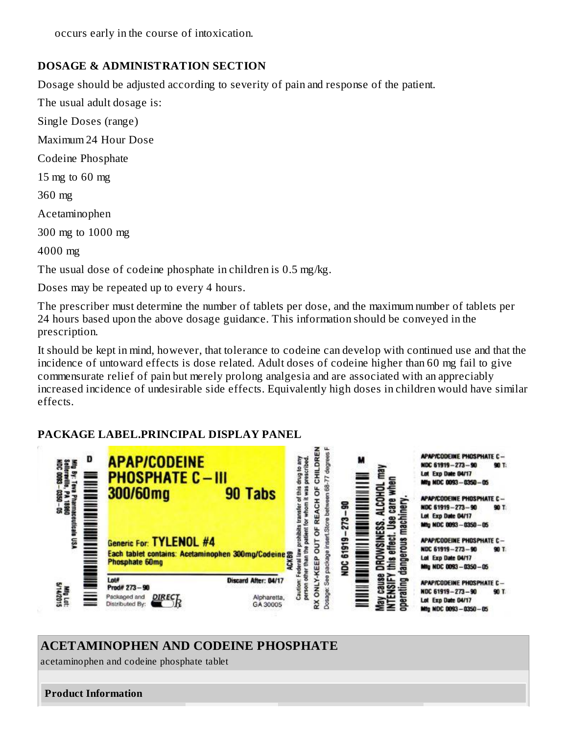occurs early in the course of intoxication.

## **DOSAGE & ADMINISTRATION SECTION**

Dosage should be adjusted according to severity of pain and response of the patient.

The usual adult dosage is:

Single Doses (range)

Maximum 24 Hour Dose

Codeine Phosphate

15 mg to 60 mg

360 mg

Acetaminophen

300 mg to 1000 mg

4000 mg

The usual dose of codeine phosphate in children is 0.5 mg/kg.

Doses may be repeated up to every 4 hours.

The prescriber must determine the number of tablets per dose, and the maximum number of tablets per 24 hours based upon the above dosage guidance. This information should be conveyed in the prescription.

It should be kept in mind, however, that tolerance to codeine can develop with continued use and that the incidence of untoward effects is dose related. Adult doses of codeine higher than 60 mg fail to give commensurate relief of pain but merely prolong analgesia and are associated with an appreciably increased incidence of undesirable side effects. Equivalently high doses in children would have similar effects.

## **PACKAGE LABEL.PRINCIPAL DISPLAY PANEL**



# **ACETAMINOPHEN AND CODEINE PHOSPHATE**

acetaminophen and codeine phosphate tablet

**Product Information**